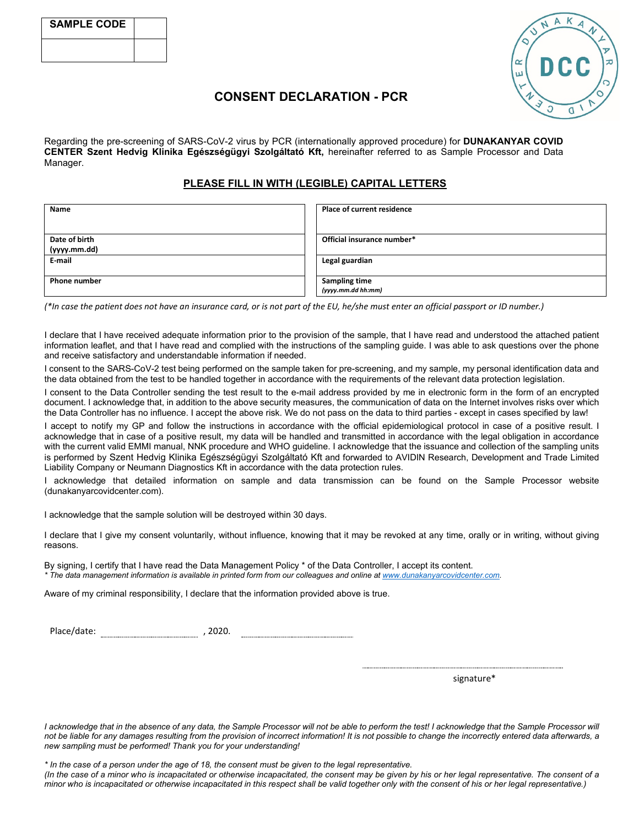

# **CONSENT DECLARATION - PCR**

Regarding the pre-screening of SARS-CoV-2 virus by PCR (internationally approved procedure) for **DUNAKANYAR COVID CENTER Szent Hedvig Klinika Egészségügyi Szolgáltató Kft,** hereinafter referred to as Sample Processor and Data Manager.

### **PLEASE FILL IN WITH (LEGIBLE) CAPITAL LETTERS**

| Name                | <b>Place of current residence</b> |  |  |
|---------------------|-----------------------------------|--|--|
|                     |                                   |  |  |
| Date of birth       | Official insurance number*        |  |  |
| (yyyy.mm.dd)        |                                   |  |  |
| E-mail              | Legal guardian                    |  |  |
|                     |                                   |  |  |
| <b>Phone number</b> | <b>Sampling time</b>              |  |  |
|                     | (yyyy.mm.dd hh:mm)                |  |  |

*(\*In case the patient does not have an insurance card, or is not part of the EU, he/she must enter an official passport or ID number.)*

I declare that I have received adequate information prior to the provision of the sample, that I have read and understood the attached patient information leaflet, and that I have read and complied with the instructions of the sampling guide. I was able to ask questions over the phone and receive satisfactory and understandable information if needed.

I consent to the SARS-CoV-2 test being performed on the sample taken for pre-screening, and my sample, my personal identification data and the data obtained from the test to be handled together in accordance with the requirements of the relevant data protection legislation.

I consent to the Data Controller sending the test result to the e-mail address provided by me in electronic form in the form of an encrypted document. I acknowledge that, in addition to the above security measures, the communication of data on the Internet involves risks over which the Data Controller has no influence. I accept the above risk. We do not pass on the data to third parties - except in cases specified by law!

I accept to notify my GP and follow the instructions in accordance with the official epidemiological protocol in case of a positive result. I acknowledge that in case of a positive result, my data will be handled and transmitted in accordance with the legal obligation in accordance with the current valid EMMI manual, NNK procedure and WHO guideline. I acknowledge that the issuance and collection of the sampling units is performed by Szent Hedvig Klinika Egészségügyi Szolgáltató Kft and forwarded to AVIDIN Research, Development and Trade Limited Liability Company or Neumann Diagnostics Kft in accordance with the data protection rules.

I acknowledge that detailed information on sample and data transmission can be found on the Sample Processor website (dunakanyarcovidcenter.com).

I acknowledge that the sample solution will be destroyed within 30 days.

I declare that I give my consent voluntarily, without influence, knowing that it may be revoked at any time, orally or in writing, without giving reasons.

By signing, I certify that I have read the Data Management Policy \* of the Data Controller, I accept its content.

*\* The data management information is available in printed form from our colleagues and online a[t www.dunakanyarcovidcenter.com.](http://www.dunakanyarcovidcenter.com/)*

Aware of my criminal responsibility, I declare that the information provided above is true.

Place/date: , 2020.

signature\*

I acknowledge that in the absence of any data, the Sample Processor will not be able to perform the test! I acknowledge that the Sample Processor will *not be liable for any damages resulting from the provision of incorrect information! It is not possible to change the incorrectly entered data afterwards, a new sampling must be performed! Thank you for your understanding!*

*\* In the case of a person under the age of 18, the consent must be given to the legal representative.*

*(In the case of a minor who is incapacitated or otherwise incapacitated, the consent may be given by his or her legal representative. The consent of a minor who is incapacitated or otherwise incapacitated in this respect shall be valid together only with the consent of his or her legal representative.)*